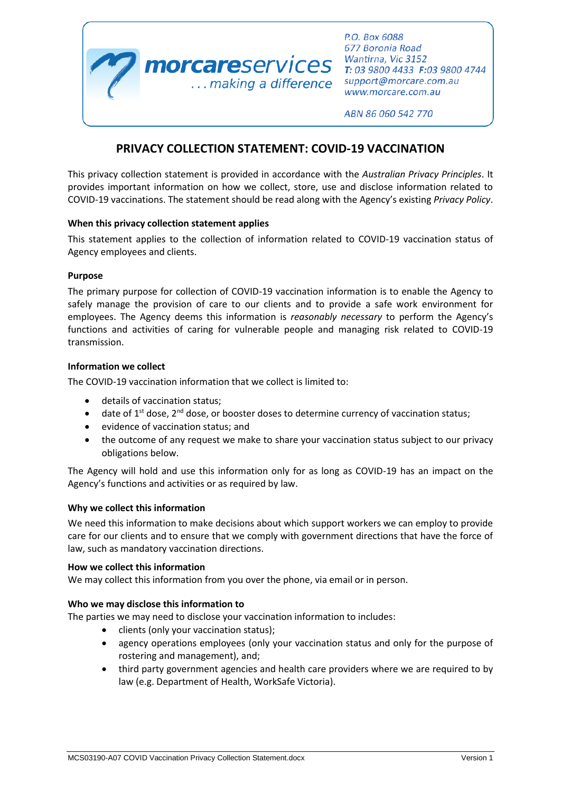

P.O. Box 6088 677 Boronia Road Wantirna, Vic 3152 support@morcare.com.au www.morcare.com.au

ABN 86 060 542 770

# **PRIVACY COLLECTION STATEMENT: COVID-19 VACCINATION**

This privacy collection statement is provided in accordance with the *Australian Privacy Principles*. It provides important information on how we collect, store, use and disclose information related to COVID-19 vaccinations. The statement should be read along with the Agency's existing *Privacy Policy*.

## **When this privacy collection statement applies**

This statement applies to the collection of information related to COVID-19 vaccination status of Agency employees and clients.

## **Purpose**

The primary purpose for collection of COVID-19 vaccination information is to enable the Agency to safely manage the provision of care to our clients and to provide a safe work environment for employees. The Agency deems this information is *reasonably necessary* to perform the Agency's functions and activities of caring for vulnerable people and managing risk related to COVID-19 transmission.

## **Information we collect**

The COVID-19 vaccination information that we collect is limited to:

- details of vaccination status;
- $\bullet$  date of 1<sup>st</sup> dose, 2<sup>nd</sup> dose, or booster doses to determine currency of vaccination status;
- evidence of vaccination status; and
- the outcome of any request we make to share your vaccination status subject to our privacy obligations below.

The Agency will hold and use this information only for as long as COVID-19 has an impact on the Agency's functions and activities or as required by law.

#### **Why we collect this information**

We need this information to make decisions about which support workers we can employ to provide care for our clients and to ensure that we comply with government directions that have the force of law, such as mandatory vaccination directions.

#### **How we collect this information**

We may collect this information from you over the phone, via email or in person.

# **Who we may disclose this information to**

The parties we may need to disclose your vaccination information to includes:

- clients (only your vaccination status);
- agency operations employees (only your vaccination status and only for the purpose of rostering and management), and;
- third party government agencies and health care providers where we are required to by law (e.g. Department of Health, WorkSafe Victoria).